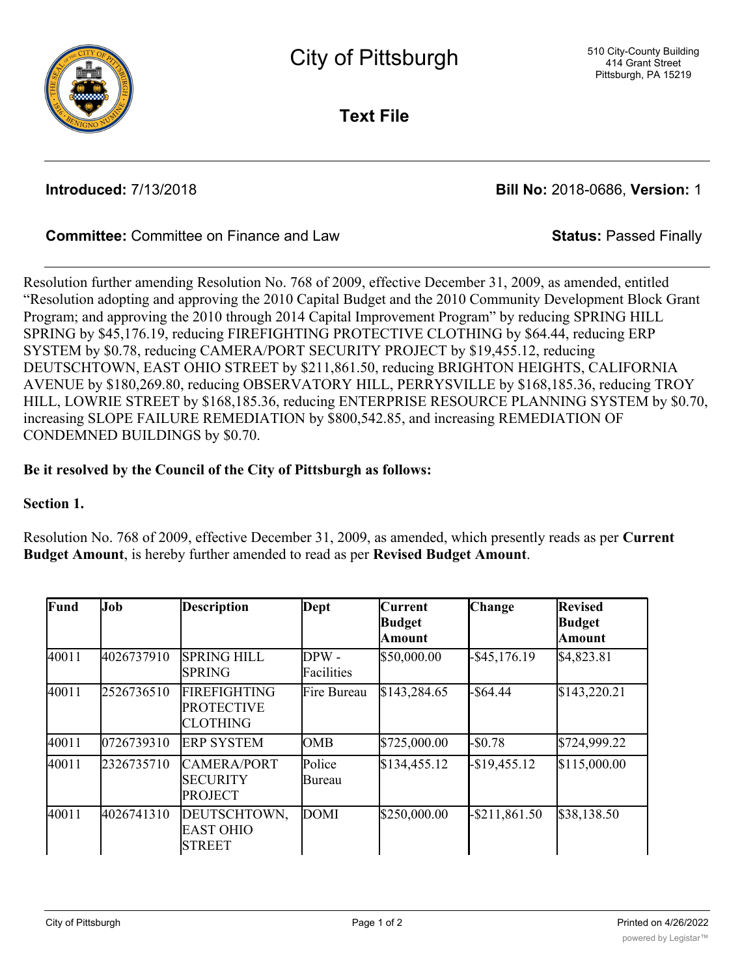

**Text File**

**Introduced:** 7/13/2018 **Bill No:** 2018-0686, **Version:** 1

# **Committee:** Committee on Finance and Law **Status:** Passed Finally

Resolution further amending Resolution No. 768 of 2009, effective December 31, 2009, as amended, entitled "Resolution adopting and approving the 2010 Capital Budget and the 2010 Community Development Block Grant Program; and approving the 2010 through 2014 Capital Improvement Program" by reducing SPRING HILL SPRING by \$45,176.19, reducing FIREFIGHTING PROTECTIVE CLOTHING by \$64.44, reducing ERP SYSTEM by \$0.78, reducing CAMERA/PORT SECURITY PROJECT by \$19,455.12, reducing DEUTSCHTOWN, EAST OHIO STREET by \$211,861.50, reducing BRIGHTON HEIGHTS, CALIFORNIA AVENUE by \$180,269.80, reducing OBSERVATORY HILL, PERRYSVILLE by \$168,185.36, reducing TROY HILL, LOWRIE STREET by \$168,185.36, reducing ENTERPRISE RESOURCE PLANNING SYSTEM by \$0.70, increasing SLOPE FAILURE REMEDIATION by \$800,542.85, and increasing REMEDIATION OF CONDEMNED BUILDINGS by \$0.70.

## **Be it resolved by the Council of the City of Pittsburgh as follows:**

<u>Avenue de la propincia de la propincia de la propincia de la propincia de la propincia de la propincia de la p</u><br>Avenue de la propincia de la propincia de la propincia de la propincia de la propincia de la propincia de la

### **Section 1.**

Resolution No. 768 of 2009, effective December 31, 2009, as amended, which presently reads as per **Current Budget Amount**, is hereby further amended to read as per **Revised Budget Amount**.

| Fund  | Job        | <b>Description</b>                                          | Dept                | <b>Current</b><br><b>Budget</b><br>Amount | <b>Change</b>    | <b>Revised</b><br><b>Budget</b><br><b>Amount</b> |
|-------|------------|-------------------------------------------------------------|---------------------|-------------------------------------------|------------------|--------------------------------------------------|
| 40011 | 4026737910 | <b>SPRING HILL</b><br><b>SPRING</b>                         | DPW -<br>Facilities | \$50,000.00                               | $-$ \$45,176.19  | \$4,823.81                                       |
| 40011 | 2526736510 | <b>FIREFIGHTING</b><br><b>PROTECTIVE</b><br><b>CLOTHING</b> | Fire Bureau         | \$143,284.65                              | $-$ \$64.44      | \$143,220.21                                     |
| 40011 | 0726739310 | <b>ERP SYSTEM</b>                                           | <b>OMB</b>          | \$725,000.00                              | $-$0.78$         | \$724,999.22                                     |
| 40011 | 2326735710 | <b>CAMERA/PORT</b><br><b>SECURITY</b><br><b>PROJECT</b>     | Police<br>Bureau    | \$134,455.12                              | $-$ \$19,455.12  | \$115,000.00                                     |
| 40011 | 4026741310 | DEUTSCHTOWN,<br><b>EAST OHIO</b><br><b>STREET</b>           | <b>DOMI</b>         | \$250,000.00                              | $-$ \$211,861.50 | \$38,138.50                                      |